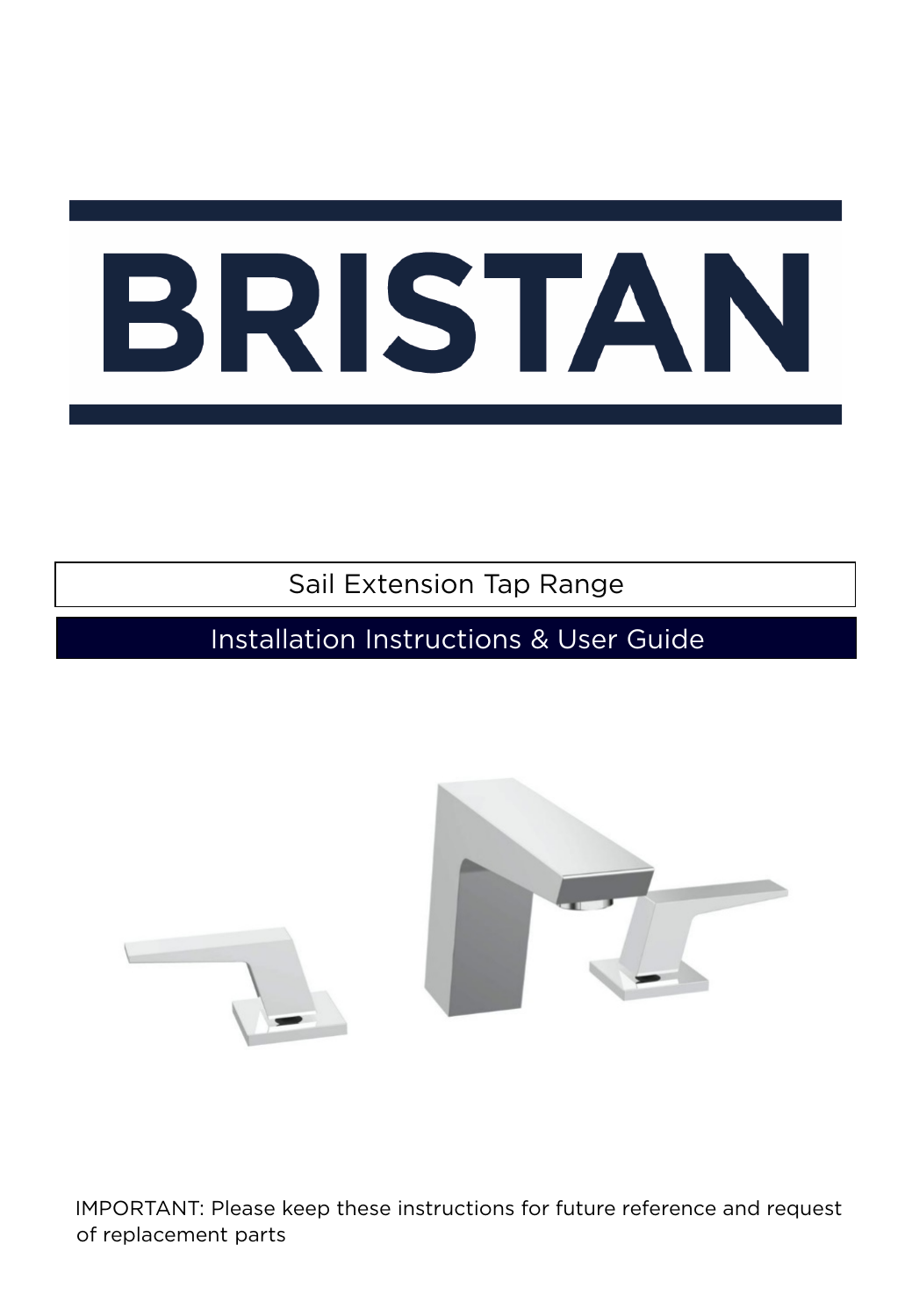Sail Extension Tap Range

Installation Instructions & User Guide



IMPORTANT: Please keep these instructions for future reference and request of replacement parts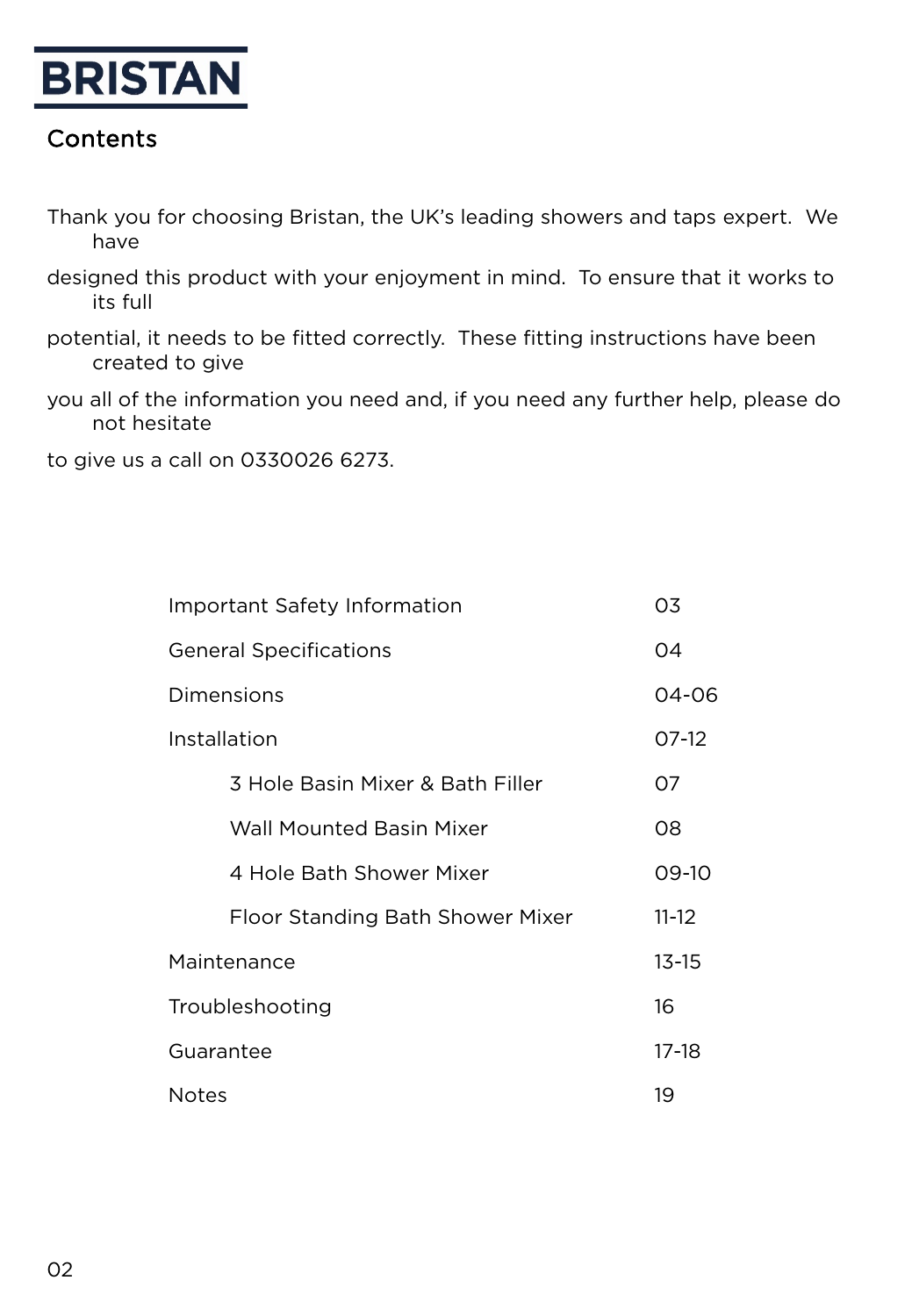

#### Contents

- Thank you for choosing Bristan, the UK's leading showers and taps expert. We have
- designed this product with your enjoyment in mind. To ensure that it works to its full
- potential, it needs to be fitted correctly. These fitting instructions have been created to give
- you all of the information you need and, if you need any further help, please do not hesitate

to give us a call on 0330026 6273.

| <b>Important Safety Information</b> |           |  |
|-------------------------------------|-----------|--|
| <b>General Specifications</b>       |           |  |
| Dimensions                          |           |  |
| Installation                        |           |  |
| 3 Hole Basin Mixer & Bath Filler    | 07        |  |
| <b>Wall Mounted Basin Mixer</b>     | 08        |  |
| 4 Hole Bath Shower Mixer            | 09-10     |  |
| Floor Standing Bath Shower Mixer    | $11 - 12$ |  |
| Maintenance                         |           |  |
| Troubleshooting                     |           |  |
| Guarantee                           |           |  |
| <b>Notes</b>                        |           |  |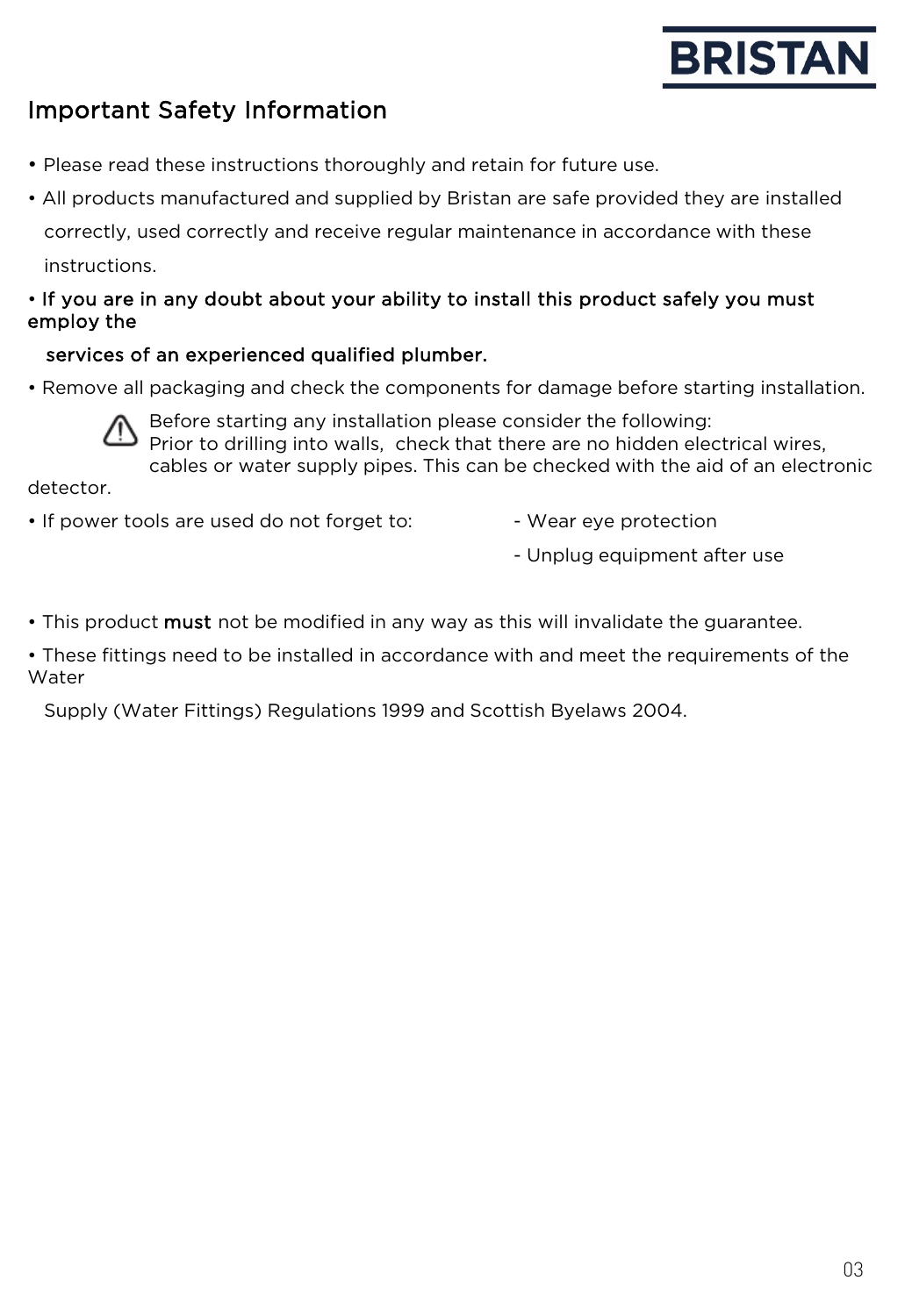# Important Safety Information

- Please read these instructions thoroughly and retain for future use.
- All products manufactured and supplied by Bristan are safe provided they are installed correctly, used correctly and receive regular maintenance in accordance with these instructions.

#### • If you are in any doubt about your ability to install this product safely you must employ the

#### services of an experienced qualified plumber.

• Remove all packaging and check the components for damage before starting installation.



Before starting any installation please consider the following: Prior to drilling into walls, check that there are no hidden electrical wires, cables or water supply pipes. This can be checked with the aid of an electronic

detector.

- If power tools are used do not forget to:  $\overline{\phantom{a}}$  Wear eye protection
	-
	- Unplug equipment after use
- This product **must** not be modified in any way as this will invalidate the guarantee.

• These fittings need to be installed in accordance with and meet the requirements of the Water

Supply (Water Fittings) Regulations 1999 and Scottish Byelaws 2004.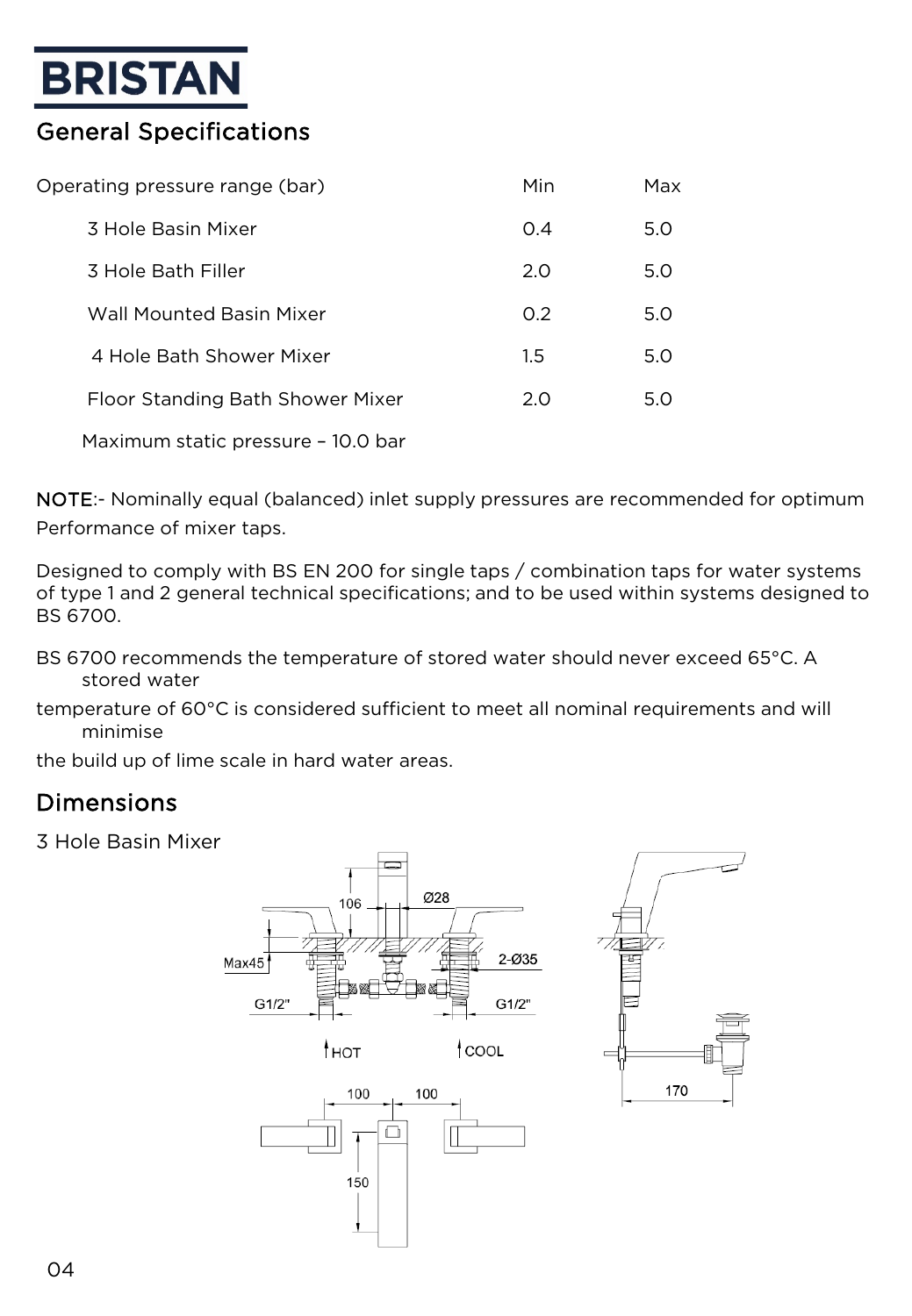# General Specifications

| Operating pressure range (bar) |                                    | Min | Max |
|--------------------------------|------------------------------------|-----|-----|
|                                | 3 Hole Basin Mixer                 | O.4 | 5.0 |
|                                | 3 Hole Bath Filler                 | 2.0 | 5.0 |
|                                | Wall Mounted Basin Mixer           | O.2 | 5.0 |
|                                | 4 Hole Bath Shower Mixer           | 1.5 | 5.0 |
|                                | Floor Standing Bath Shower Mixer   | 2.0 | 5.0 |
|                                | Maximum static pressure - 10.0 bar |     |     |

NOTE:- Nominally equal (balanced) inlet supply pressures are recommended for optimum Performance of mixer taps.

Designed to comply with BS EN 200 for single taps / combination taps for water systems of type 1 and 2 general technical specifications; and to be used within systems designed to BS 6700.

- BS 6700 recommends the temperature of stored water should never exceed 65°C. A stored water
- temperature of 60°C is considered sufficient to meet all nominal requirements and will minimise

the build up of lime scale in hard water areas.

## Dimensions

3 Hole Basin Mixer

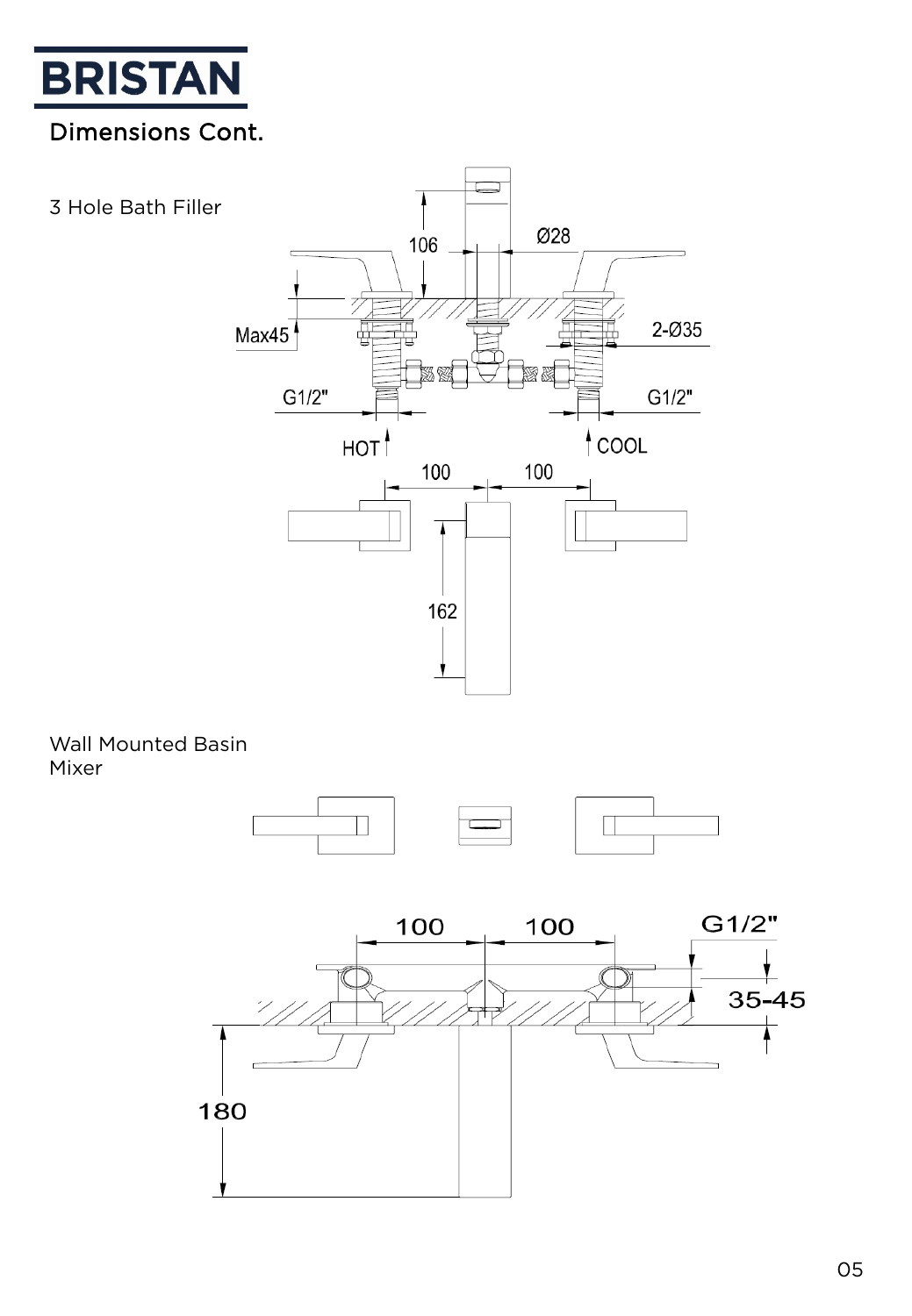

# Dimensions Cont.

3 Hole Bath Filler



#### Wall Mounted Basin Mixer



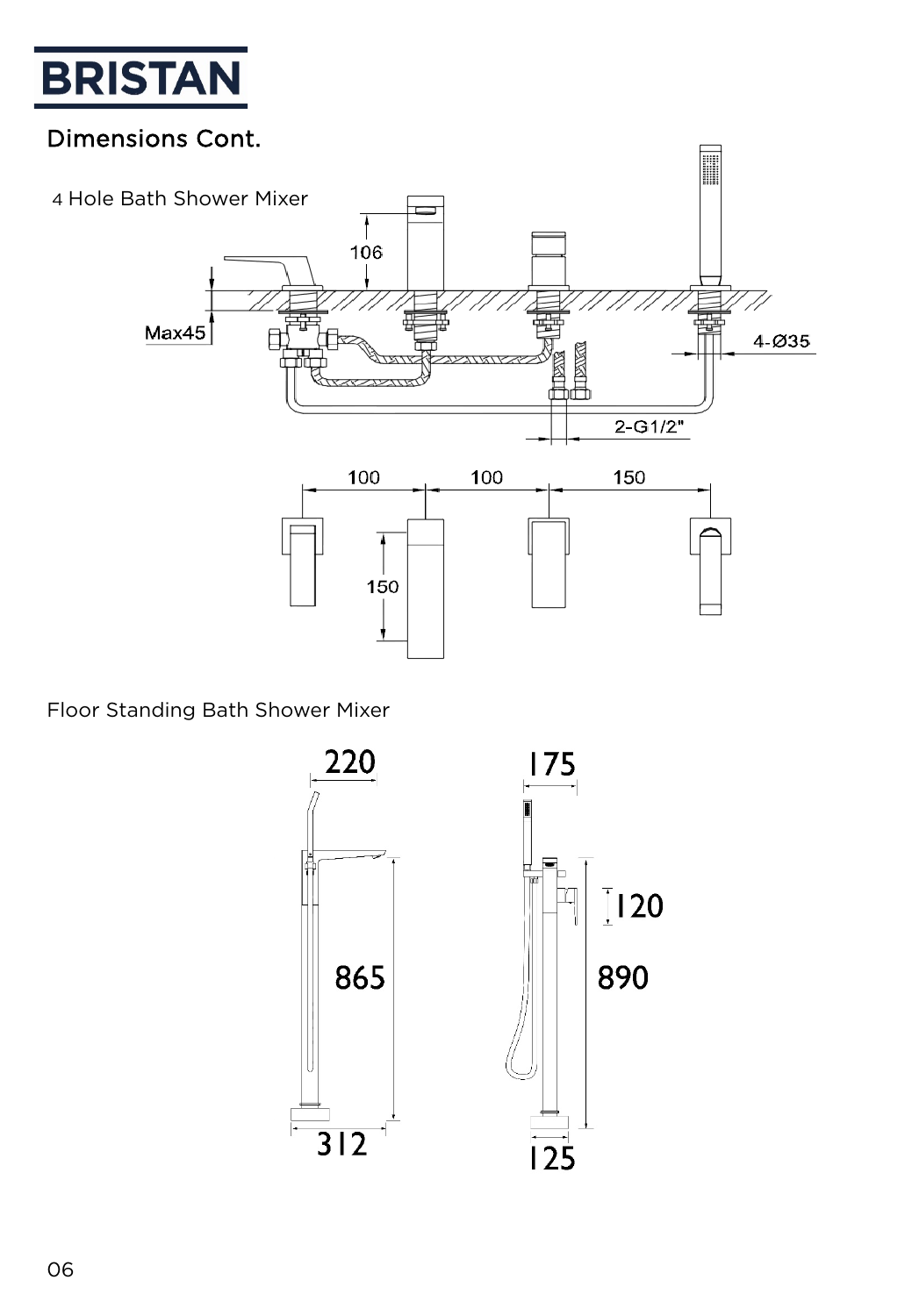

## Dimensions Cont.



Floor Standing Bath Shower Mixer

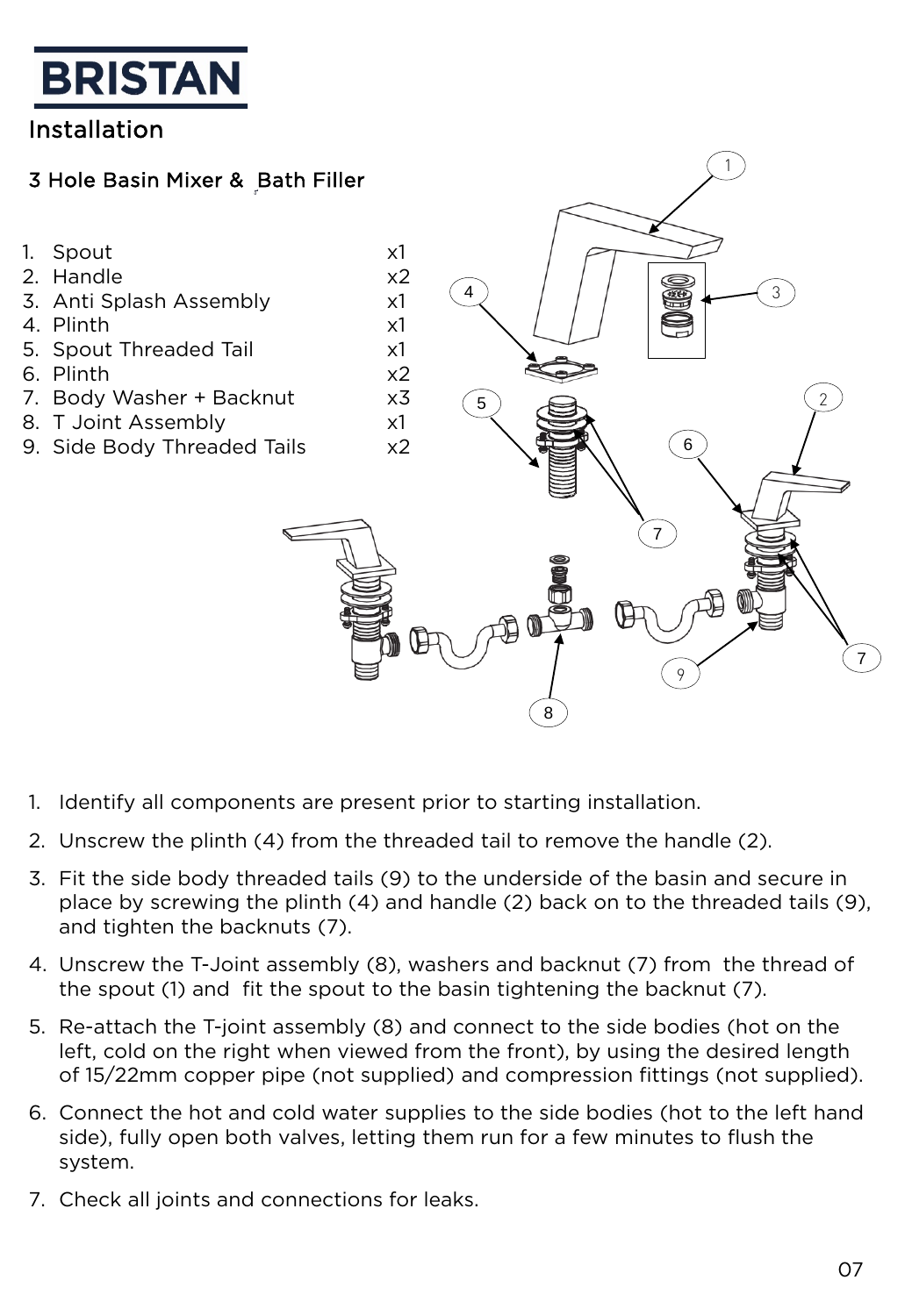## Installation

#### 3 Hole Basin Mixer & Bath Filler



1

- 1. Identify all components are present prior to starting installation.
- 2. Unscrew the plinth (4) from the threaded tail to remove the handle (2).
- 3. Fit the side body threaded tails (9) to the underside of the basin and secure in place by screwing the plinth (4) and handle (2) back on to the threaded tails (9), and tighten the backnuts (7).
- 4. Unscrew the T-Joint assembly (8), washers and backnut (7) from the thread of the spout (1) and fit the spout to the basin tightening the backnut (7).
- 5. Re-attach the T-joint assembly (8) and connect to the side bodies (hot on the left, cold on the right when viewed from the front), by using the desired length of 15/22mm copper pipe (not supplied) and compression fittings (not supplied).
- 6. Connect the hot and cold water supplies to the side bodies (hot to the left hand side), fully open both valves, letting them run for a few minutes to flush the system.
- 7. Check all joints and connections for leaks.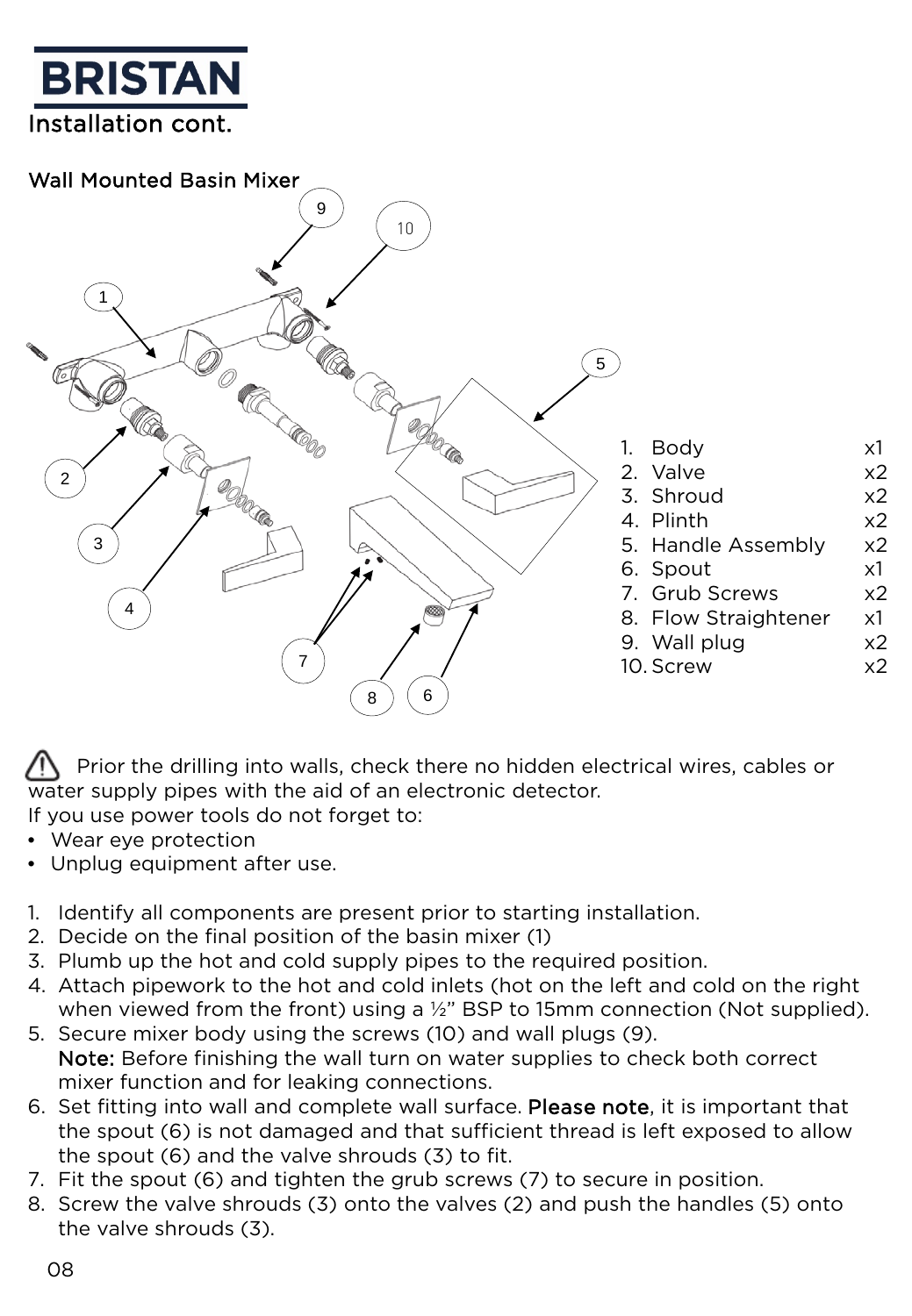



Prior the drilling into walls, check there no hidden electrical wires, cables or water supply pipes with the aid of an electronic detector. If you use power tools do not forget to:

- Wear eye protection
- Unplug equipment after use.
- 1. Identify all components are present prior to starting installation.
- 2. Decide on the final position of the basin mixer (1)
- 3. Plumb up the hot and cold supply pipes to the required position.
- 4. Attach pipework to the hot and cold inlets (hot on the left and cold on the right when viewed from the front) using a ½" BSP to 15mm connection (Not supplied).
- 5. Secure mixer body using the screws (10) and wall plugs (9). Note: Before finishing the wall turn on water supplies to check both correct mixer function and for leaking connections.
- 6. Set fitting into wall and complete wall surface. Please note, it is important that the spout (6) is not damaged and that sufficient thread is left exposed to allow the spout (6) and the valve shrouds (3) to fit.
- 7. Fit the spout (6) and tighten the grub screws (7) to secure in position.
- 8. Screw the valve shrouds (3) onto the valves (2) and push the handles (5) onto the valve shrouds (3).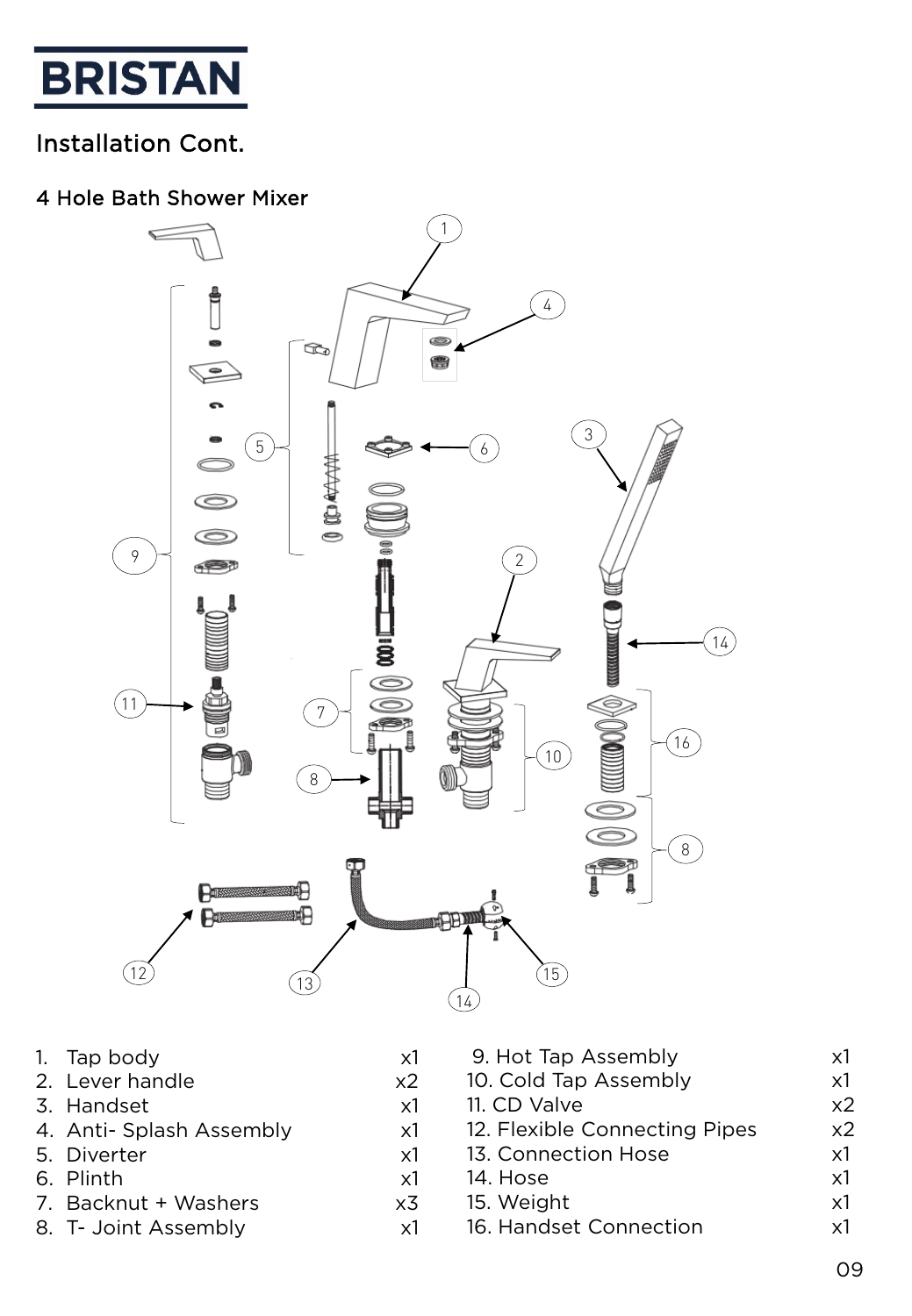

## Installation Cont.

#### 4 Hole Bath Shower Mixer



- 1. Tap body x1
- 2. Lever handle x2
- 3. Handset x1
- 4. Anti- Splash Assembly x1
- 5. Diverter x1
- 6. Plinth x1
- 7. Backnut + Washers x3
- 8. T- Joint Assembly x1

| 9. Hot Tap Assembly           | x1             |
|-------------------------------|----------------|
| 10. Cold Tap Assembly         | $\times 1$     |
| 11. CD Valve                  | x <sub>2</sub> |
| 12. Flexible Connecting Pipes | x <sub>2</sub> |
| 13. Connection Hose           | $\times 1$     |
| 14. Hose                      | $\times$ 1     |
| 15. Weight                    | $\times$ 1     |
| 16. Handset Connection        | v1             |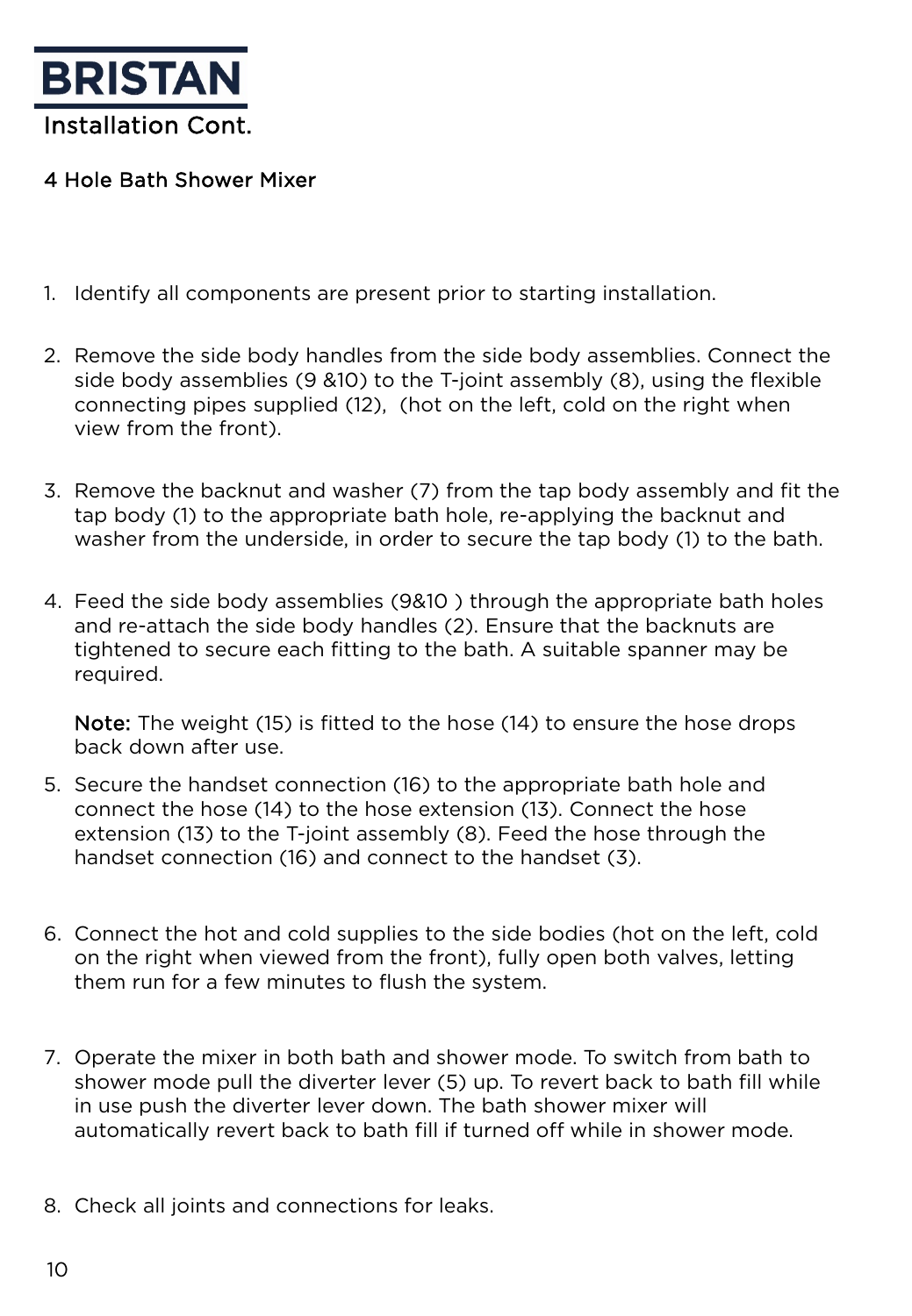

#### 4 Hole Bath Shower Mixer

- 1. Identify all components are present prior to starting installation.
- 2. Remove the side body handles from the side body assemblies. Connect the side body assemblies (9 &10) to the T-joint assembly (8), using the flexible connecting pipes supplied (12), (hot on the left, cold on the right when view from the front).
- 3. Remove the backnut and washer (7) from the tap body assembly and fit the tap body (1) to the appropriate bath hole, re-applying the backnut and washer from the underside, in order to secure the tap body (1) to the bath.
- 4. Feed the side body assemblies (9&10 ) through the appropriate bath holes and re-attach the side body handles (2). Ensure that the backnuts are tightened to secure each fitting to the bath. A suitable spanner may be required.

Note: The weight (15) is fitted to the hose (14) to ensure the hose drops back down after use.

- 5. Secure the handset connection (16) to the appropriate bath hole and connect the hose (14) to the hose extension (13). Connect the hose extension (13) to the T-joint assembly (8). Feed the hose through the handset connection (16) and connect to the handset (3).
- 6. Connect the hot and cold supplies to the side bodies (hot on the left, cold on the right when viewed from the front), fully open both valves, letting them run for a few minutes to flush the system.
- 7. Operate the mixer in both bath and shower mode. To switch from bath to shower mode pull the diverter lever (5) up. To revert back to bath fill while in use push the diverter lever down. The bath shower mixer will automatically revert back to bath fill if turned off while in shower mode.
- 8. Check all joints and connections for leaks.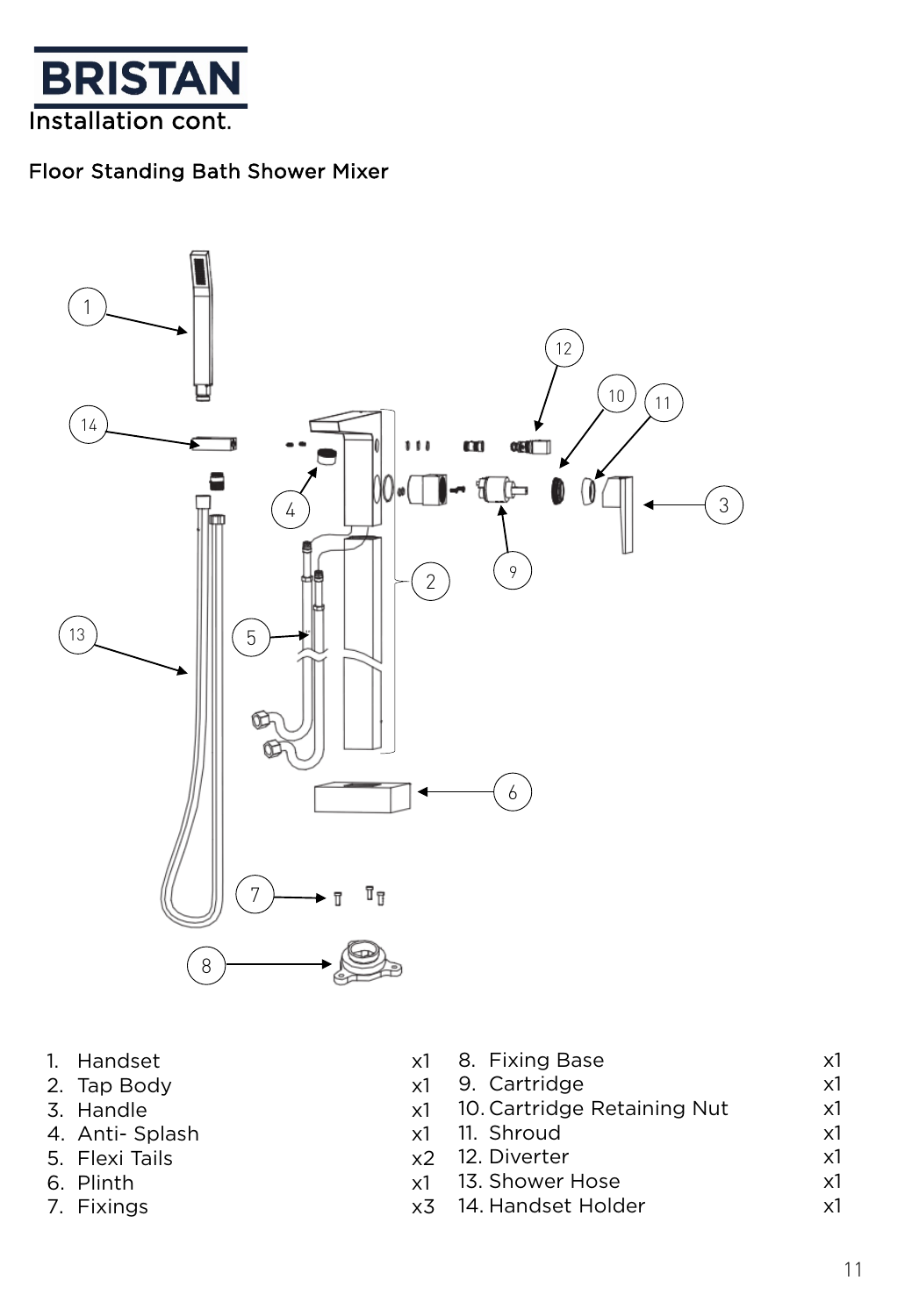

#### Floor Standing Bath Shower Mixer



- 1. Handset x
- 2. Tap Body X
- 3. Handle x
- 4. Anti- Splash x1
- 5. Flexi Tails x2
- 6. Plinth x1
- 7. Fixings x3

| :1 | 8. Fixing Base              | x1 |
|----|-----------------------------|----|
| :1 | 9. Cartridge                | x1 |
| :1 | 10. Cartridge Retaining Nut | x1 |
| :1 | 11. Shroud                  | x1 |
|    | 2 12. Diverter              | x1 |
|    | 1 13. Shower Hose           | x1 |
|    | 3 14. Handset Holder        | ν1 |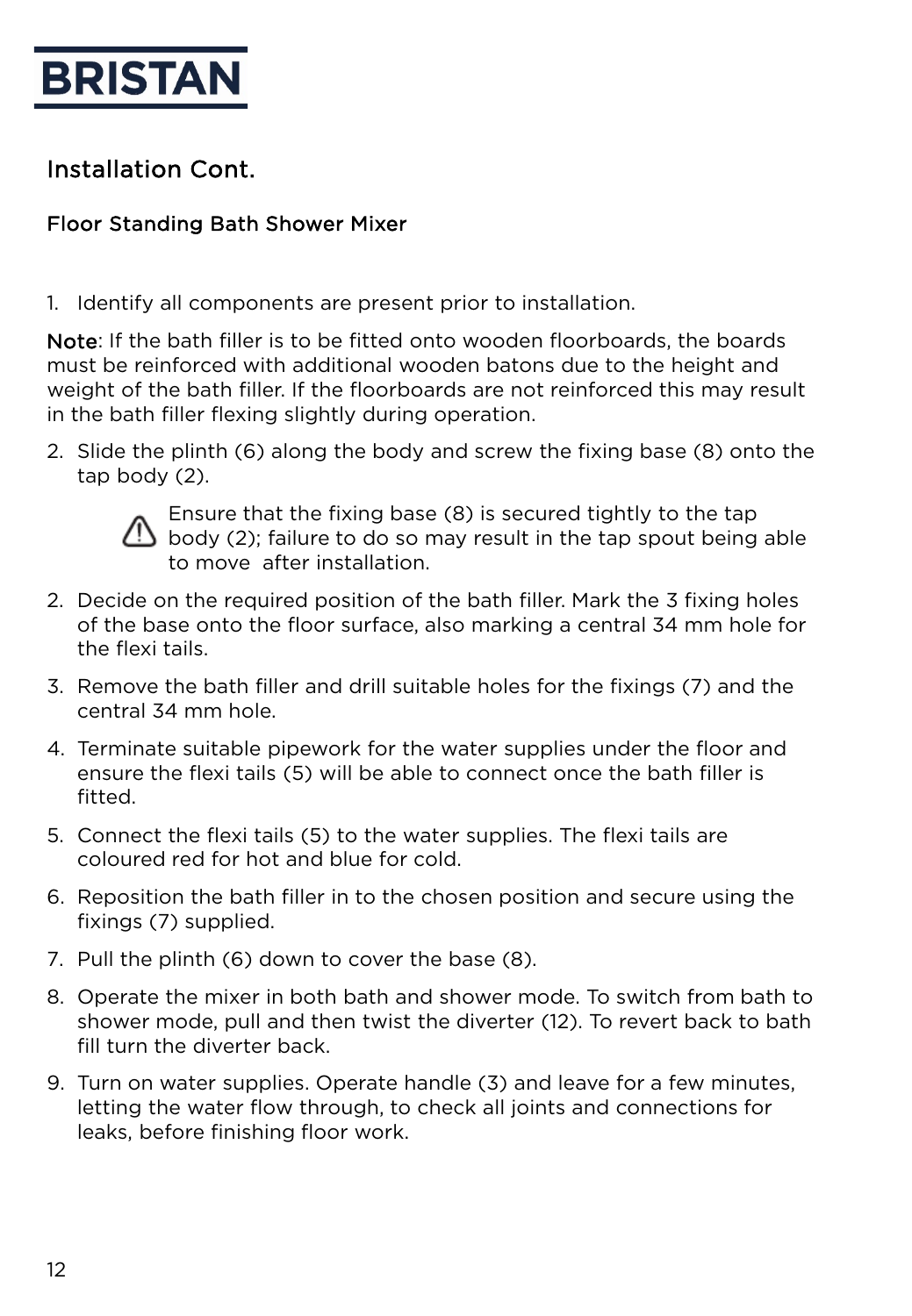

## Installation Cont.

#### Floor Standing Bath Shower Mixer

1. Identify all components are present prior to installation.

Note: If the bath filler is to be fitted onto wooden floorboards, the boards must be reinforced with additional wooden batons due to the height and weight of the bath filler. If the floorboards are not reinforced this may result in the bath filler flexing slightly during operation.

2. Slide the plinth (6) along the body and screw the fixing base (8) onto the tap body (2).



Ensure that the fixing base (8) is secured tightly to the tap body (2); failure to do so may result in the tap spout being able to move after installation.

- 2. Decide on the required position of the bath filler. Mark the 3 fixing holes of the base onto the floor surface, also marking a central 34 mm hole for the flexi tails.
- 3. Remove the bath filler and drill suitable holes for the fixings (7) and the central 34 mm hole.
- 4. Terminate suitable pipework for the water supplies under the floor and ensure the flexi tails (5) will be able to connect once the bath filler is fitted.
- 5. Connect the flexi tails (5) to the water supplies. The flexi tails are coloured red for hot and blue for cold.
- 6. Reposition the bath filler in to the chosen position and secure using the fixings (7) supplied.
- 7. Pull the plinth (6) down to cover the base (8).
- 8. Operate the mixer in both bath and shower mode. To switch from bath to shower mode, pull and then twist the diverter (12). To revert back to bath fill turn the diverter back.
- 9. Turn on water supplies. Operate handle (3) and leave for a few minutes, letting the water flow through, to check all joints and connections for leaks, before finishing floor work.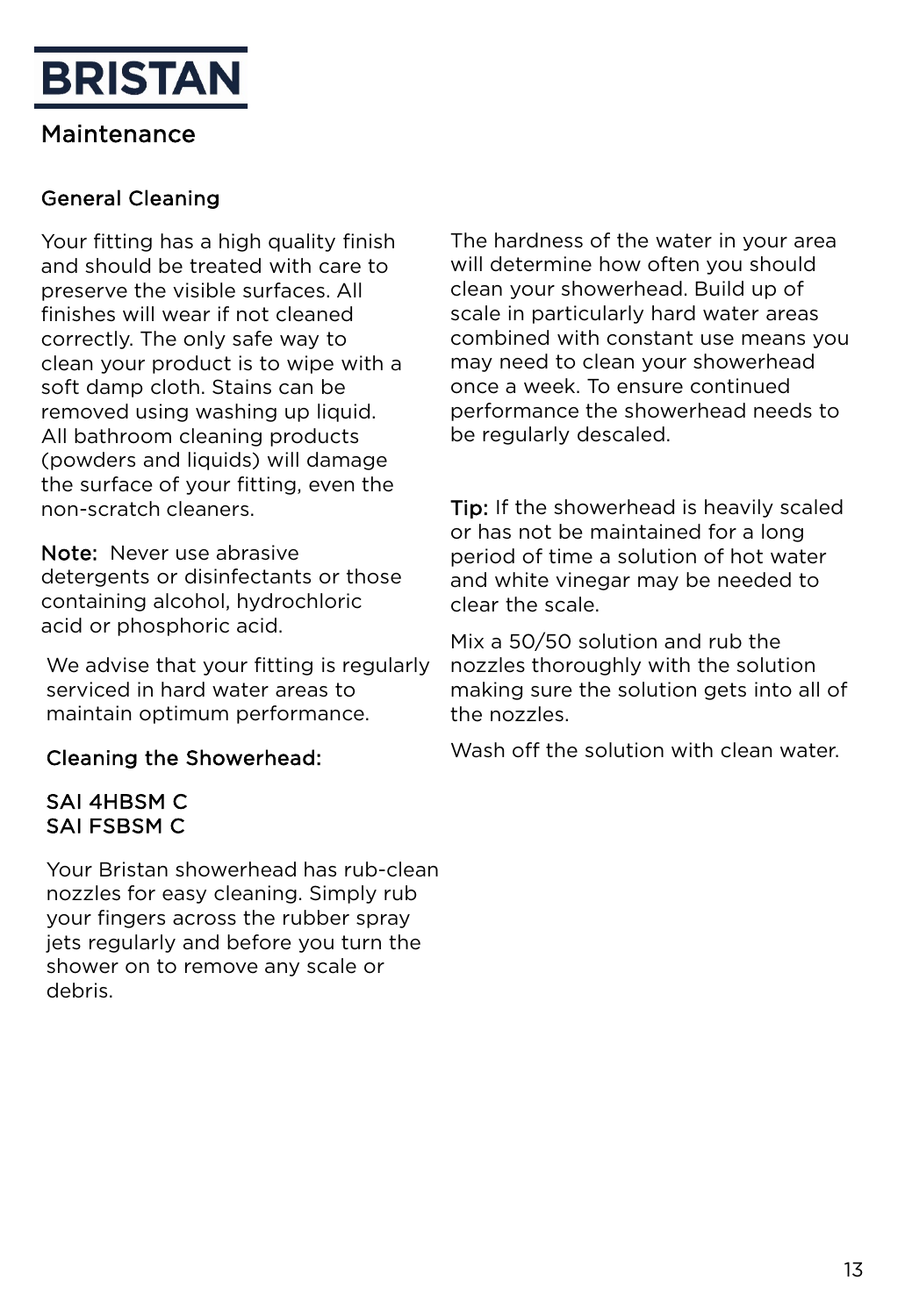## Maintenance

#### General Cleaning

Your fitting has a high quality finish and should be treated with care to preserve the visible surfaces. All finishes will wear if not cleaned correctly. The only safe way to clean your product is to wipe with a soft damp cloth. Stains can be removed using washing up liquid. All bathroom cleaning products (powders and liquids) will damage the surface of your fitting, even the non-scratch cleaners.

Note: Never use abrasive detergents or disinfectants or those containing alcohol, hydrochloric acid or phosphoric acid.

We advise that your fitting is regularly serviced in hard water areas to maintain optimum performance.

#### Cleaning the Showerhead:

#### SAI 4HBSM C SAI FSBSM C

Your Bristan showerhead has rub-clean nozzles for easy cleaning. Simply rub your fingers across the rubber spray jets regularly and before you turn the shower on to remove any scale or debris.

The hardness of the water in your area will determine how often you should clean your showerhead. Build up of scale in particularly hard water areas combined with constant use means you may need to clean your showerhead once a week. To ensure continued performance the showerhead needs to be regularly descaled.

Tip: If the showerhead is heavily scaled or has not be maintained for a long period of time a solution of hot water and white vinegar may be needed to clear the scale.

Mix a 50/50 solution and rub the nozzles thoroughly with the solution making sure the solution gets into all of the nozzles.

Wash off the solution with clean water.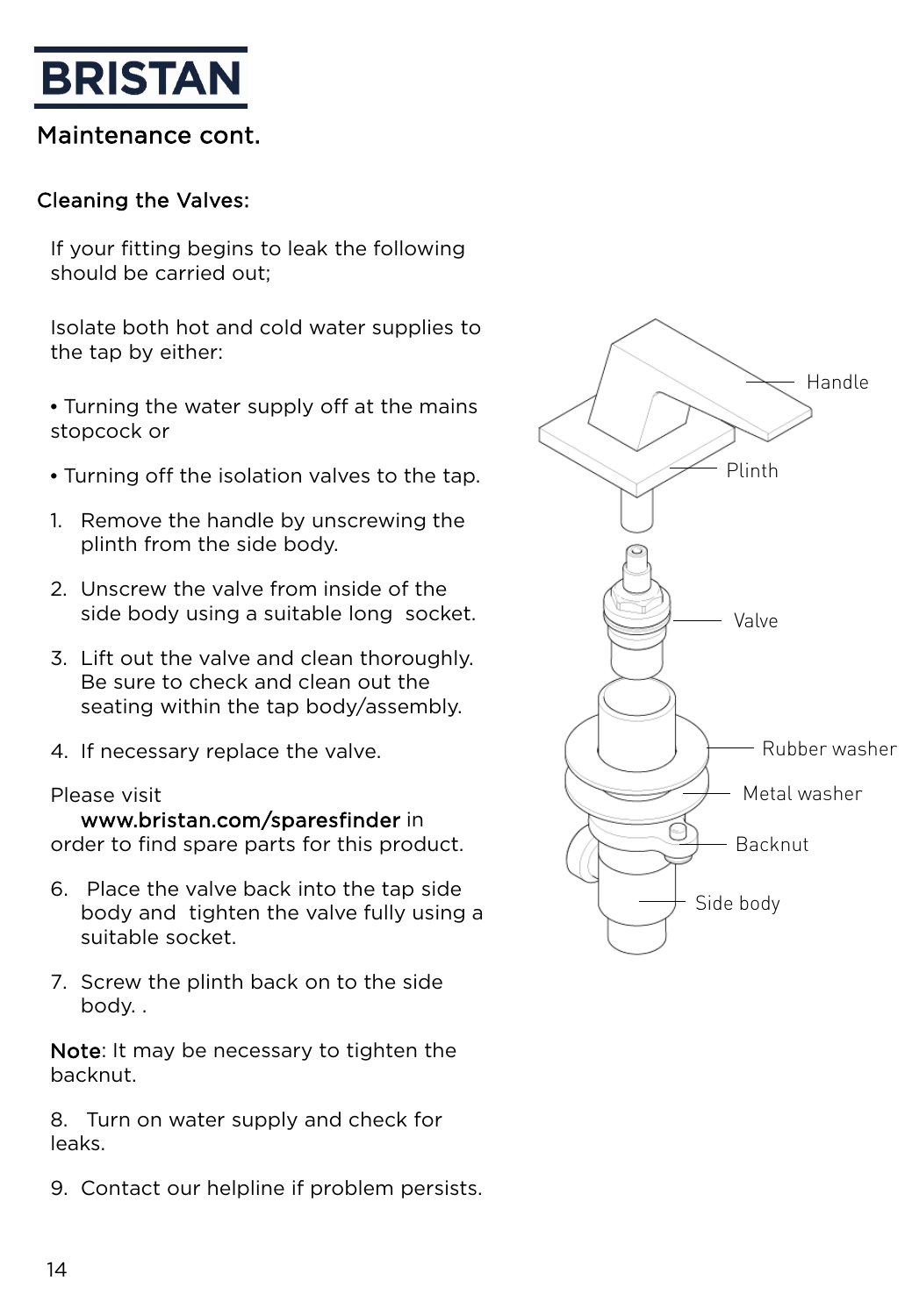#### Maintenance cont.

#### Cleaning the Valves:

If your fitting begins to leak the following should be carried out;

Isolate both hot and cold water supplies to the tap by either:

- Turning the water supply off at the mains stopcock or
- Turning off the isolation valves to the tap.
- 1. Remove the handle by unscrewing the plinth from the side body.
- 2. Unscrew the valve from inside of the side body using a suitable long socket.
- 3. Lift out the valve and clean thoroughly. Be sure to check and clean out the seating within the tap body/assembly.
- 4. If necessary replace the valve.

#### Please visit

www.bristan.com/sparesfinder in order to find spare parts for this product.

- 6. Place the valve back into the tap side body and tighten the valve fully using a suitable socket.
- 7. Screw the plinth back on to the side body. .

Note: It may be necessary to tighten the backnut.

8. Turn on water supply and check for leaks.

9. Contact our helpline if problem persists.

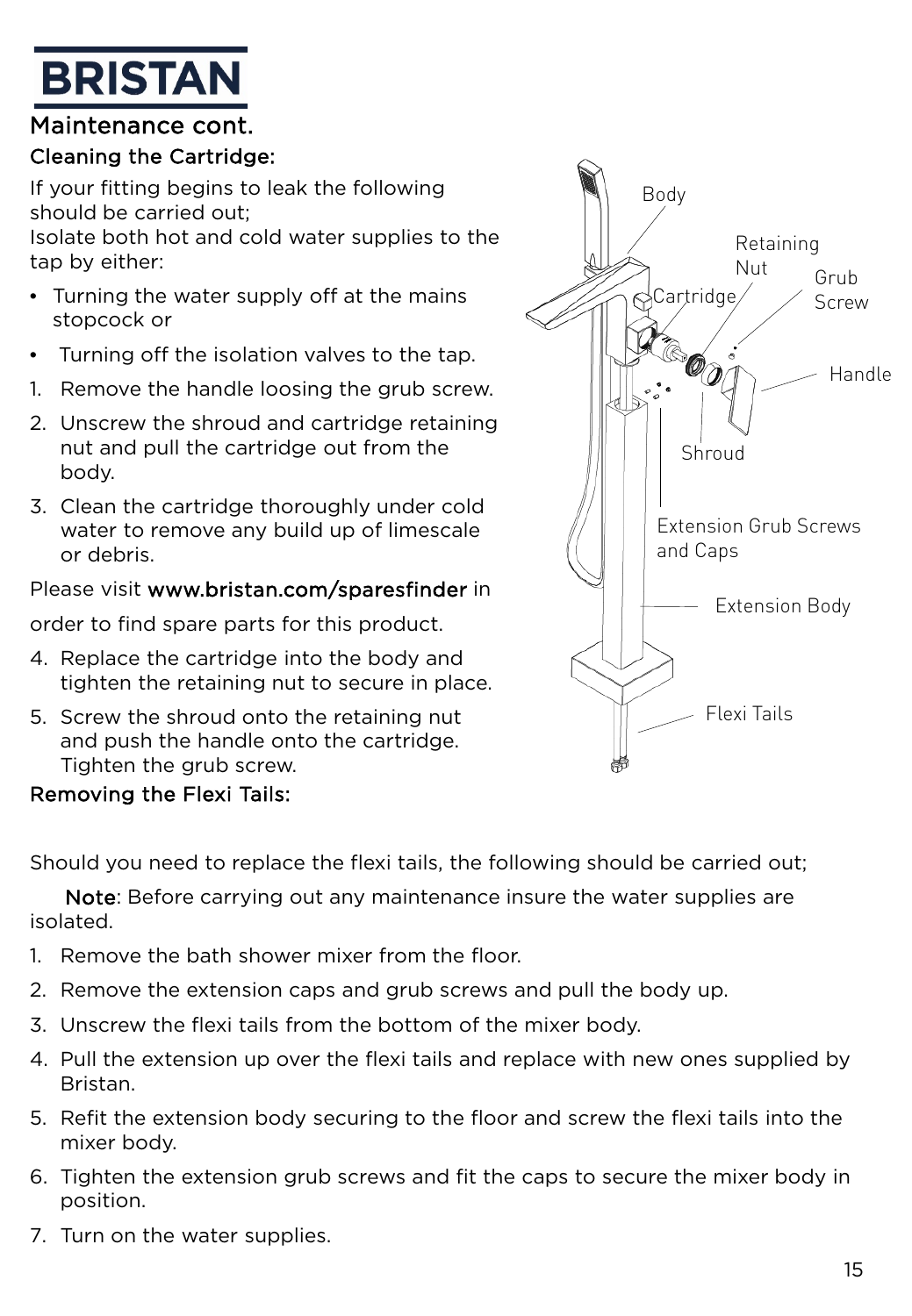#### Maintenance cont.

#### Cleaning the Cartridge:

If your fitting begins to leak the following should be carried out; Isolate both hot and cold water supplies to the tap by either:

- Turning the water supply off at the mains stopcock or
- Turning off the isolation valves to the tap.
- 1. Remove the handle loosing the grub screw.
- 2. Unscrew the shroud and cartridge retaining nut and pull the cartridge out from the body.
- 3. Clean the cartridge thoroughly under cold water to remove any build up of limescale or debris.

#### Please visit www.bristan.com/sparesfinder in

order to find spare parts for this product.

- 4. Replace the cartridge into the body and tighten the retaining nut to secure in place.
- 5. Screw the shroud onto the retaining nut and push the handle onto the cartridge. Tighten the grub screw.



#### Removing the Flexi Tails:

Should you need to replace the flexi tails, the following should be carried out;

Note: Before carrying out any maintenance insure the water supplies are isolated.

- 1. Remove the bath shower mixer from the floor.
- 2. Remove the extension caps and grub screws and pull the body up.
- 3. Unscrew the flexi tails from the bottom of the mixer body.
- 4. Pull the extension up over the flexi tails and replace with new ones supplied by Bristan.
- 5. Refit the extension body securing to the floor and screw the flexi tails into the mixer body.
- 6. Tighten the extension grub screws and fit the caps to secure the mixer body in position.
- 7. Turn on the water supplies.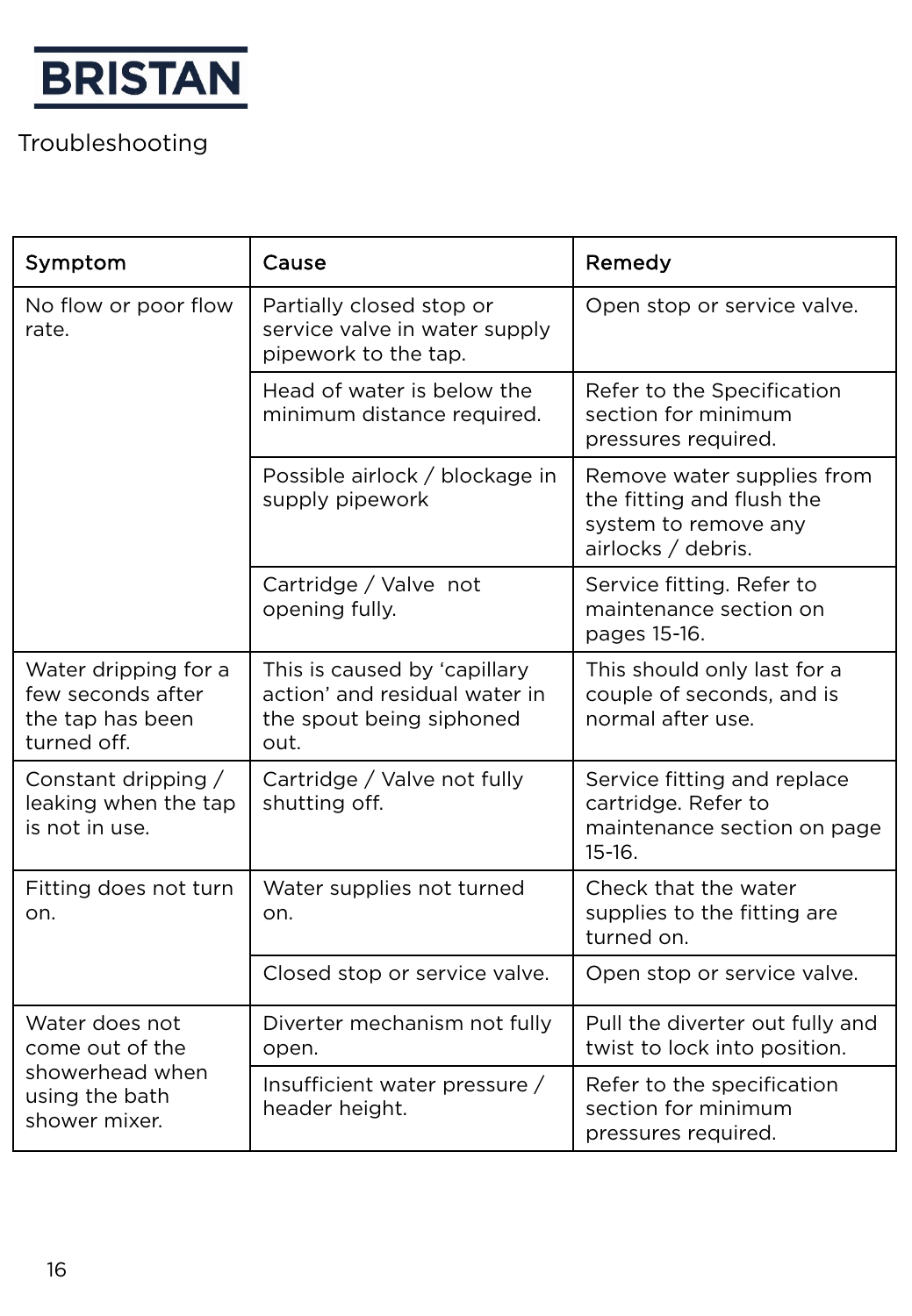

# Troubleshooting

| Symptom                                                                      | Cause                                                                                             | Remedy                                                                                                |
|------------------------------------------------------------------------------|---------------------------------------------------------------------------------------------------|-------------------------------------------------------------------------------------------------------|
| No flow or poor flow<br>rate.                                                | Partially closed stop or<br>service valve in water supply<br>pipework to the tap.                 | Open stop or service valve.                                                                           |
|                                                                              | Head of water is below the<br>minimum distance required.                                          | Refer to the Specification<br>section for minimum<br>pressures required.                              |
|                                                                              | Possible airlock / blockage in<br>supply pipework                                                 | Remove water supplies from<br>the fitting and flush the<br>system to remove any<br>airlocks / debris. |
|                                                                              | Cartridge / Valve not<br>opening fully.                                                           | Service fitting. Refer to<br>maintenance section on<br>pages 15-16.                                   |
| Water dripping for a<br>few seconds after<br>the tap has been<br>turned off. | This is caused by 'capillary<br>action' and residual water in<br>the spout being siphoned<br>out. | This should only last for a<br>couple of seconds, and is<br>normal after use.                         |
| Constant dripping $/$<br>leaking when the tap<br>is not in use.              | Cartridge / Valve not fully<br>shutting off.                                                      | Service fitting and replace<br>cartridge. Refer to<br>maintenance section on page<br>$15-16.$         |
| Fitting does not turn<br>on.                                                 | Water supplies not turned<br>on.                                                                  | Check that the water<br>supplies to the fitting are<br>turned on.                                     |
|                                                                              | Closed stop or service valve.                                                                     | Open stop or service valve.                                                                           |
| Water does not<br>come out of the                                            | Diverter mechanism not fully<br>open.                                                             | Pull the diverter out fully and<br>twist to lock into position.                                       |
| showerhead when<br>using the bath<br>shower mixer.                           | Insufficient water pressure /<br>header height.                                                   | Refer to the specification<br>section for minimum<br>pressures required.                              |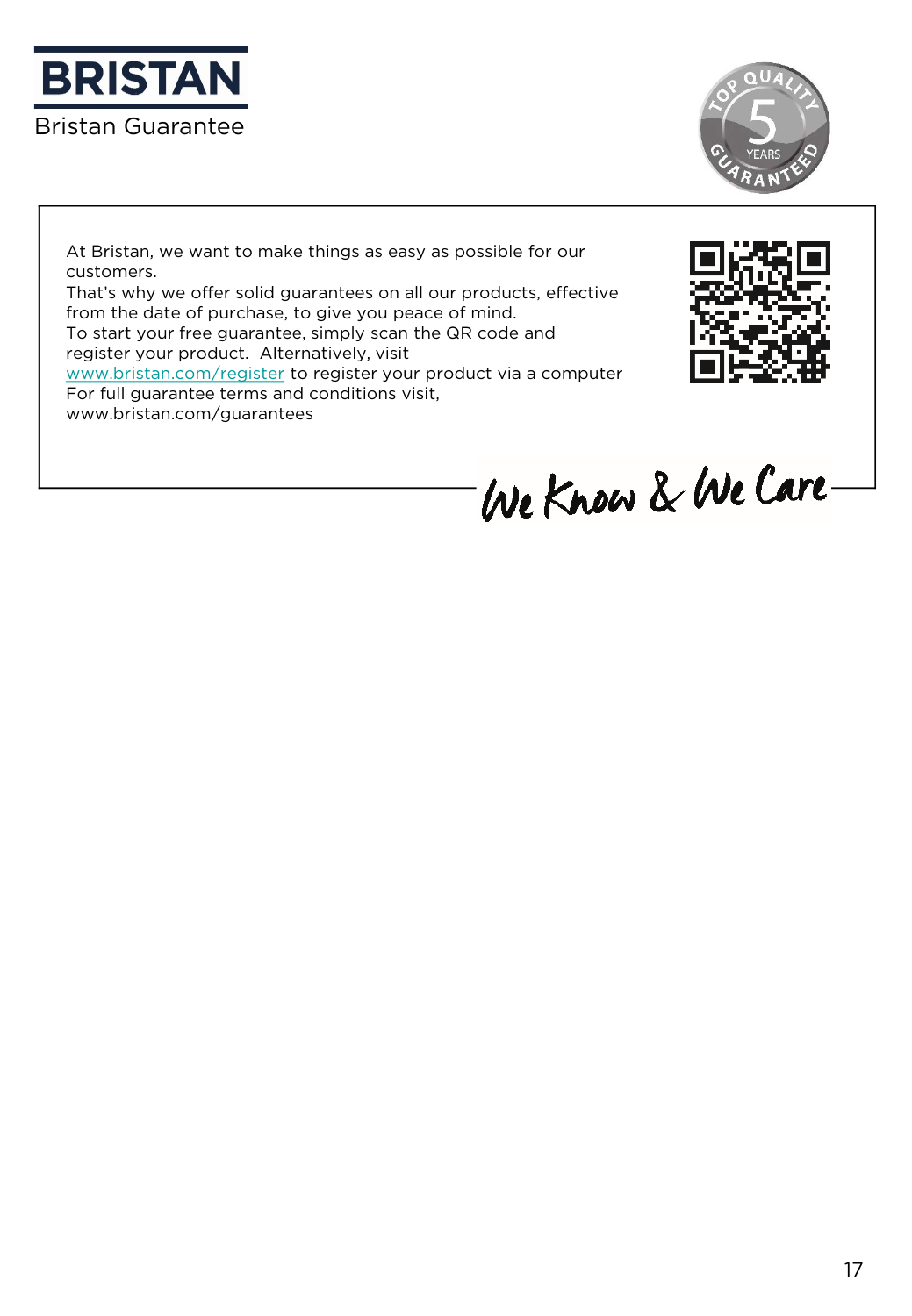



At Bristan, we want to make things as easy as possible for our customers.

That's why we offer solid guarantees on all our products, effective from the date of purchase, to give you peace of mind.

To start your free guarantee, simply scan the QR code and register your product. Alternatively, visit

[www.bristan.com/register](http://www.bristan.com/register) to register your product via a computer For full guarantee terms and conditions visit,

www.bristan.com/guarantees



We Know & We Care-